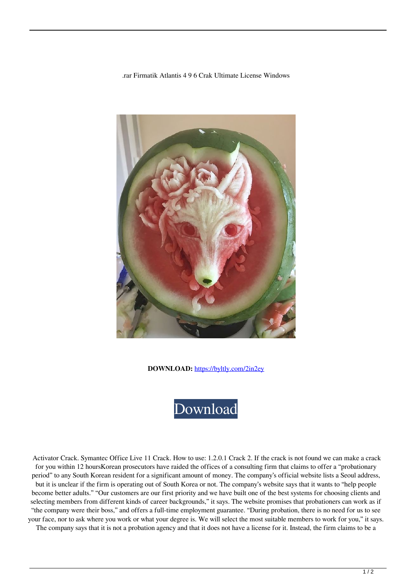.rar Firmatik Atlantis 4 9 6 Crak Ultimate License Windows



**DOWNLOAD:** <https://byltly.com/2in2ey>



 Activator Crack. Symantec Office Live 11 Crack. How to use: 1.2.0.1 Crack 2. If the crack is not found we can make a crack for you within 12 hoursKorean prosecutors have raided the offices of a consulting firm that claims to offer a "probationary period" to any South Korean resident for a significant amount of money. The company's official website lists a Seoul address, but it is unclear if the firm is operating out of South Korea or not. The company's website says that it wants to "help people become better adults." "Our customers are our first priority and we have built one of the best systems for choosing clients and selecting members from different kinds of career backgrounds," it says. The website promises that probationers can work as if "the company were their boss," and offers a full-time employment guarantee. "During probation, there is no need for us to see your face, nor to ask where you work or what your degree is. We will select the most suitable members to work for you," it says. The company says that it is not a probation agency and that it does not have a license for it. Instead, the firm claims to be a